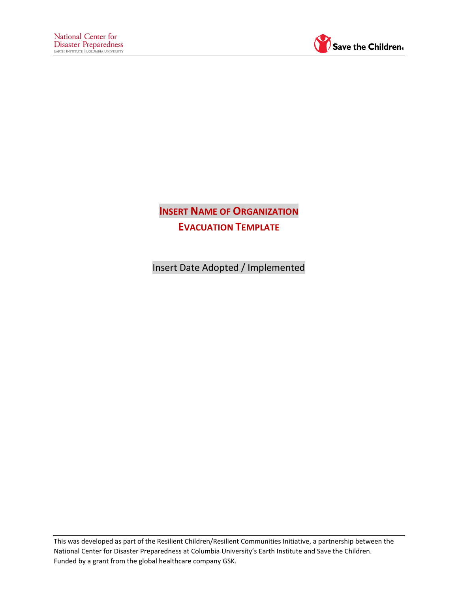

**INSERT NAME OF ORGANIZATION EVACUATION TEMPLATE**

 $\overline{\phantom{a}}$ 

Insert Date Adopted / Implemented

This was developed as part of the Resilient Children/Resilient Communities Initiative, a partnership between the National Center for Disaster Preparedness at Columbia University's Earth Institute and Save the Children. Funded by a grant from the global healthcare company GSK.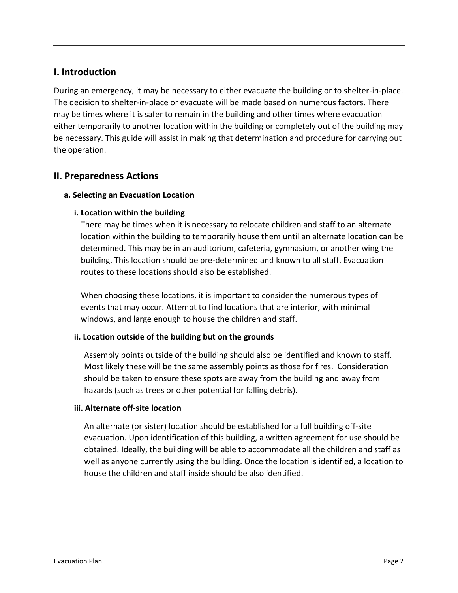# **I. Introduction**

During an emergency, it may be necessary to either evacuate the building or to shelter-in-place. The decision to shelter-in-place or evacuate will be made based on numerous factors. There may be times where it is safer to remain in the building and other times where evacuation either temporarily to another location within the building or completely out of the building may be necessary. This guide will assist in making that determination and procedure for carrying out the operation.

# **II. Preparedness Actions**

## **a. Selecting an Evacuation Location**

## **i. Location within the building**

There may be times when it is necessary to relocate children and staff to an alternate location within the building to temporarily house them until an alternate location can be determined. This may be in an auditorium, cafeteria, gymnasium, or another wing the building. This location should be pre-determined and known to all staff. Evacuation routes to these locations should also be established.

When choosing these locations, it is important to consider the numerous types of events that may occur. Attempt to find locations that are interior, with minimal windows, and large enough to house the children and staff.

## **ii. Location outside of the building but on the grounds**

Assembly points outside of the building should also be identified and known to staff. Most likely these will be the same assembly points as those for fires. Consideration should be taken to ensure these spots are away from the building and away from hazards (such as trees or other potential for falling debris).

## **iii. Alternate off-site location**

An alternate (or sister) location should be established for a full building off-site evacuation. Upon identification of this building, a written agreement for use should be obtained. Ideally, the building will be able to accommodate all the children and staff as well as anyone currently using the building. Once the location is identified, a location to house the children and staff inside should be also identified.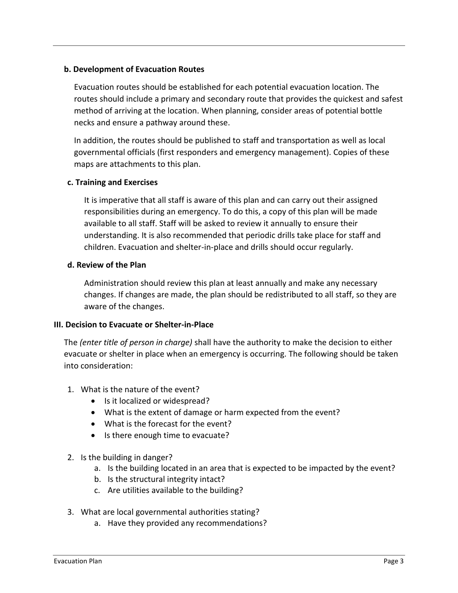#### **b. Development of Evacuation Routes**

Evacuation routes should be established for each potential evacuation location. The routes should include a primary and secondary route that provides the quickest and safest method of arriving at the location. When planning, consider areas of potential bottle necks and ensure a pathway around these.

In addition, the routes should be published to staff and transportation as well as local governmental officials (first responders and emergency management). Copies of these maps are attachments to this plan.

#### **c. Training and Exercises**

It is imperative that all staff is aware of this plan and can carry out their assigned responsibilities during an emergency. To do this, a copy of this plan will be made available to all staff. Staff will be asked to review it annually to ensure their understanding. It is also recommended that periodic drills take place for staff and children. Evacuation and shelter-in-place and drills should occur regularly.

#### **d. Review of the Plan**

Administration should review this plan at least annually and make any necessary changes. If changes are made, the plan should be redistributed to all staff, so they are aware of the changes.

#### **III. Decision to Evacuate or Shelter-in-Place**

The *(enter title of person in charge)* shall have the authority to make the decision to either evacuate or shelter in place when an emergency is occurring. The following should be taken into consideration:

- 1. What is the nature of the event?
	- Is it localized or widespread?
	- What is the extent of damage or harm expected from the event?
	- What is the forecast for the event?
	- Is there enough time to evacuate?

## 2. Is the building in danger?

- a. Is the building located in an area that is expected to be impacted by the event?
- b. Is the structural integrity intact?
- c. Are utilities available to the building?
- 3. What are local governmental authorities stating?
	- a. Have they provided any recommendations?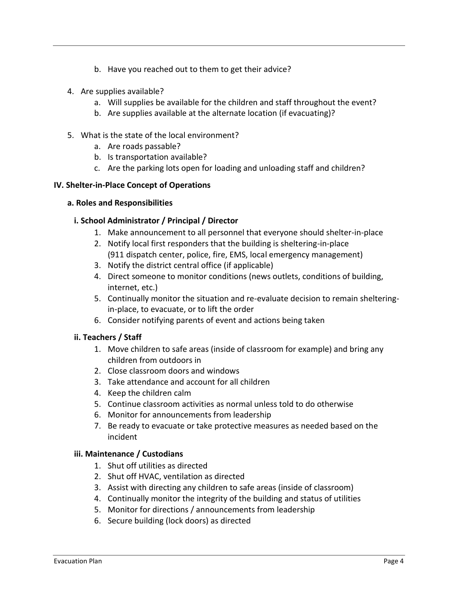- b. Have you reached out to them to get their advice?
- 4. Are supplies available?
	- a. Will supplies be available for the children and staff throughout the event?
	- b. Are supplies available at the alternate location (if evacuating)?
- 5. What is the state of the local environment?
	- a. Are roads passable?
	- b. Is transportation available?
	- c. Are the parking lots open for loading and unloading staff and children?

#### **IV. Shelter-in-Place Concept of Operations**

#### **a. Roles and Responsibilities**

#### **i. School Administrator / Principal / Director**

- 1. Make announcement to all personnel that everyone should shelter-in-place
- 2. Notify local first responders that the building is sheltering-in-place (911 dispatch center, police, fire, EMS, local emergency management)
- 3. Notify the district central office (if applicable)
- 4. Direct someone to monitor conditions (news outlets, conditions of building, internet, etc.)
- 5. Continually monitor the situation and re-evaluate decision to remain shelteringin-place, to evacuate, or to lift the order
- 6. Consider notifying parents of event and actions being taken

#### **ii. Teachers / Staff**

- 1. Move children to safe areas (inside of classroom for example) and bring any children from outdoors in
- 2. Close classroom doors and windows
- 3. Take attendance and account for all children
- 4. Keep the children calm
- 5. Continue classroom activities as normal unless told to do otherwise
- 6. Monitor for announcements from leadership
- 7. Be ready to evacuate or take protective measures as needed based on the incident

#### **iii. Maintenance / Custodians**

- 1. Shut off utilities as directed
- 2. Shut off HVAC, ventilation as directed
- 3. Assist with directing any children to safe areas (inside of classroom)
- 4. Continually monitor the integrity of the building and status of utilities
- 5. Monitor for directions / announcements from leadership
- 6. Secure building (lock doors) as directed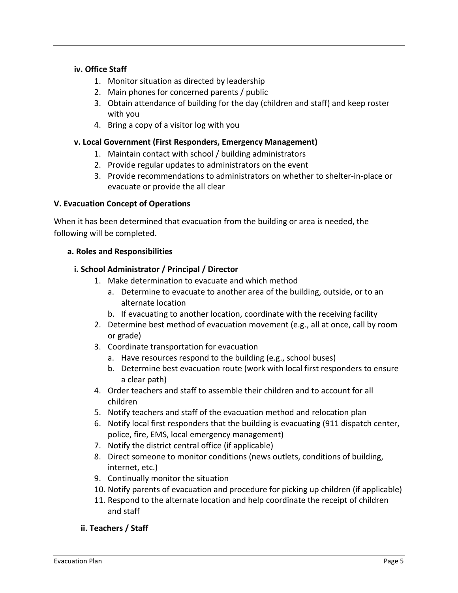## **iv. Office Staff**

- 1. Monitor situation as directed by leadership
- 2. Main phones for concerned parents / public
- 3. Obtain attendance of building for the day (children and staff) and keep roster with you
- 4. Bring a copy of a visitor log with you

## **v. Local Government (First Responders, Emergency Management)**

- 1. Maintain contact with school / building administrators
- 2. Provide regular updates to administrators on the event
- 3. Provide recommendations to administrators on whether to shelter-in-place or evacuate or provide the all clear

## **V. Evacuation Concept of Operations**

When it has been determined that evacuation from the building or area is needed, the following will be completed.

## **a. Roles and Responsibilities**

## **i. School Administrator / Principal / Director**

- 1. Make determination to evacuate and which method
	- a. Determine to evacuate to another area of the building, outside, or to an alternate location
	- b. If evacuating to another location, coordinate with the receiving facility
- 2. Determine best method of evacuation movement (e.g., all at once, call by room or grade)
- 3. Coordinate transportation for evacuation
	- a. Have resources respond to the building (e.g., school buses)
	- b. Determine best evacuation route (work with local first responders to ensure a clear path)
- 4. Order teachers and staff to assemble their children and to account for all children
- 5. Notify teachers and staff of the evacuation method and relocation plan
- 6. Notify local first responders that the building is evacuating (911 dispatch center, police, fire, EMS, local emergency management)
- 7. Notify the district central office (if applicable)
- 8. Direct someone to monitor conditions (news outlets, conditions of building, internet, etc.)
- 9. Continually monitor the situation
- 10. Notify parents of evacuation and procedure for picking up children (if applicable)
- 11. Respond to the alternate location and help coordinate the receipt of children and staff

## **ii. Teachers / Staff**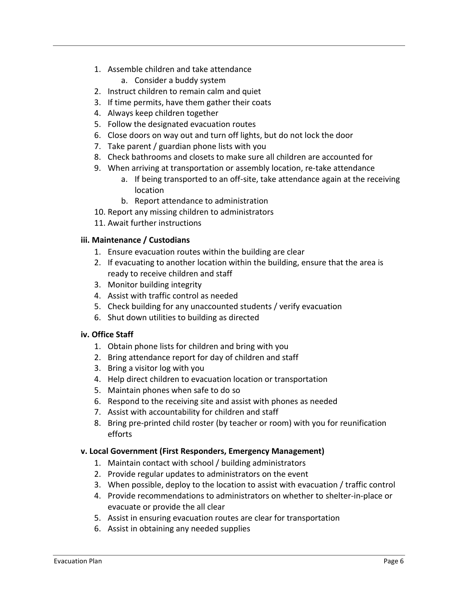- 1. Assemble children and take attendance
	- a. Consider a buddy system
- 2. Instruct children to remain calm and quiet
- 3. If time permits, have them gather their coats
- 4. Always keep children together
- 5. Follow the designated evacuation routes
- 6. Close doors on way out and turn off lights, but do not lock the door
- 7. Take parent / guardian phone lists with you
- 8. Check bathrooms and closets to make sure all children are accounted for
- 9. When arriving at transportation or assembly location, re-take attendance
	- a. If being transported to an off-site, take attendance again at the receiving location
	- b. Report attendance to administration
- 10. Report any missing children to administrators
- 11. Await further instructions

#### **iii. Maintenance / Custodians**

- 1. Ensure evacuation routes within the building are clear
- 2. If evacuating to another location within the building, ensure that the area is ready to receive children and staff
- 3. Monitor building integrity
- 4. Assist with traffic control as needed
- 5. Check building for any unaccounted students / verify evacuation
- 6. Shut down utilities to building as directed

#### **iv. Office Staff**

- 1. Obtain phone lists for children and bring with you
- 2. Bring attendance report for day of children and staff
- 3. Bring a visitor log with you
- 4. Help direct children to evacuation location or transportation
- 5. Maintain phones when safe to do so
- 6. Respond to the receiving site and assist with phones as needed
- 7. Assist with accountability for children and staff
- 8. Bring pre-printed child roster (by teacher or room) with you for reunification efforts

#### **v. Local Government (First Responders, Emergency Management)**

- 1. Maintain contact with school / building administrators
- 2. Provide regular updates to administrators on the event
- 3. When possible, deploy to the location to assist with evacuation / traffic control
- 4. Provide recommendations to administrators on whether to shelter-in-place or evacuate or provide the all clear
- 5. Assist in ensuring evacuation routes are clear for transportation
- 6. Assist in obtaining any needed supplies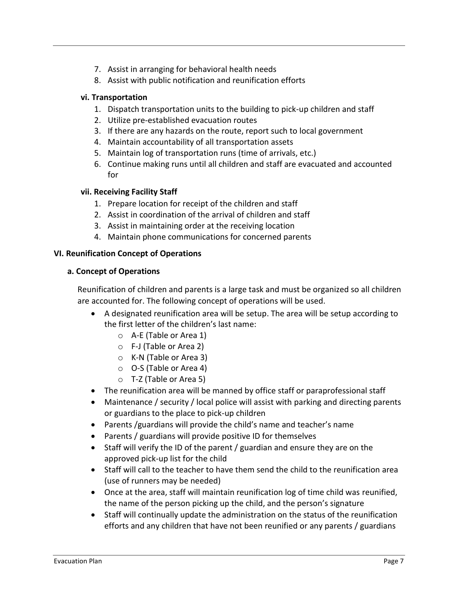- 7. Assist in arranging for behavioral health needs
- 8. Assist with public notification and reunification efforts

### **vi. Transportation**

- 1. Dispatch transportation units to the building to pick-up children and staff
- 2. Utilize pre-established evacuation routes
- 3. If there are any hazards on the route, report such to local government
- 4. Maintain accountability of all transportation assets
- 5. Maintain log of transportation runs (time of arrivals, etc.)
- 6. Continue making runs until all children and staff are evacuated and accounted for

## **vii. Receiving Facility Staff**

- 1. Prepare location for receipt of the children and staff
- 2. Assist in coordination of the arrival of children and staff
- 3. Assist in maintaining order at the receiving location
- 4. Maintain phone communications for concerned parents

## **VI. Reunification Concept of Operations**

#### **a. Concept of Operations**

Reunification of children and parents is a large task and must be organized so all children are accounted for. The following concept of operations will be used.

- A designated reunification area will be setup. The area will be setup according to the first letter of the children's last name:
	- o A-E (Table or Area 1)
	- o F-J (Table or Area 2)
	- o K-N (Table or Area 3)
	- o O-S (Table or Area 4)
	- o T-Z (Table or Area 5)
- The reunification area will be manned by office staff or paraprofessional staff
- Maintenance / security / local police will assist with parking and directing parents or guardians to the place to pick-up children
- Parents /guardians will provide the child's name and teacher's name
- Parents / guardians will provide positive ID for themselves
- Staff will verify the ID of the parent / guardian and ensure they are on the approved pick-up list for the child
- Staff will call to the teacher to have them send the child to the reunification area (use of runners may be needed)
- Once at the area, staff will maintain reunification log of time child was reunified, the name of the person picking up the child, and the person's signature
- Staff will continually update the administration on the status of the reunification efforts and any children that have not been reunified or any parents / guardians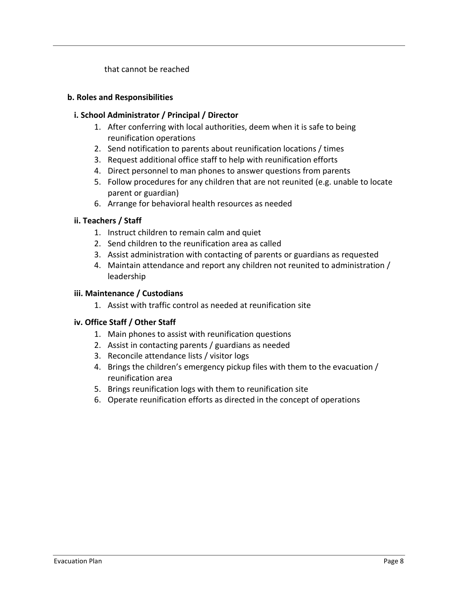that cannot be reached

#### **b. Roles and Responsibilities**

### **i. School Administrator / Principal / Director**

- 1. After conferring with local authorities, deem when it is safe to being reunification operations
- 2. Send notification to parents about reunification locations / times
- 3. Request additional office staff to help with reunification efforts
- 4. Direct personnel to man phones to answer questions from parents
- 5. Follow procedures for any children that are not reunited (e.g. unable to locate parent or guardian)
- 6. Arrange for behavioral health resources as needed

## **ii. Teachers / Staff**

- 1. Instruct children to remain calm and quiet
- 2. Send children to the reunification area as called
- 3. Assist administration with contacting of parents or guardians as requested
- 4. Maintain attendance and report any children not reunited to administration / leadership

## **iii. Maintenance / Custodians**

1. Assist with traffic control as needed at reunification site

## **iv. Office Staff / Other Staff**

- 1. Main phones to assist with reunification questions
- 2. Assist in contacting parents / guardians as needed
- 3. Reconcile attendance lists / visitor logs
- 4. Brings the children's emergency pickup files with them to the evacuation / reunification area
- 5. Brings reunification logs with them to reunification site
- 6. Operate reunification efforts as directed in the concept of operations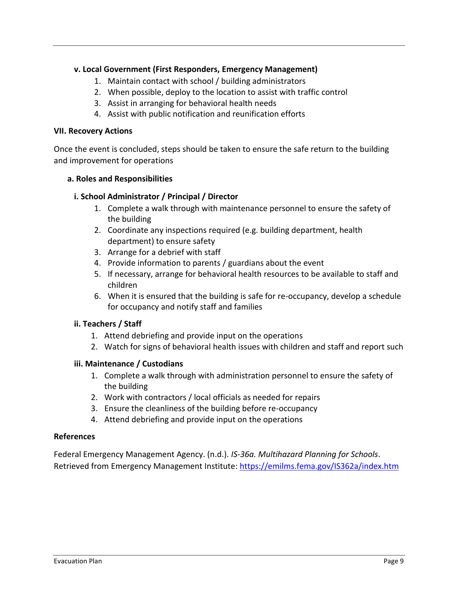## **v. Local Government (First Responders, Emergency Management)**

- 1. Maintain contact with school / building administrators
- 2. When possible, deploy to the location to assist with traffic control
- 3. Assist in arranging for behavioral health needs
- 4. Assist with public notification and reunification efforts

#### **VII. Recovery Actions**

Once the event is concluded, steps should be taken to ensure the safe return to the building and improvement for operations

#### **a. Roles and Responsibilities**

#### **i. School Administrator / Principal / Director**

- 1. Complete a walk through with maintenance personnel to ensure the safety of the building
- 2. Coordinate any inspections required (e.g. building department, health department) to ensure safety
- 3. Arrange for a debrief with staff
- 4. Provide information to parents / guardians about the event
- 5. If necessary, arrange for behavioral health resources to be available to staff and children
- 6. When it is ensured that the building is safe for re-occupancy, develop a schedule for occupancy and notify staff and families

#### **ii. Teachers / Staff**

- 1. Attend debriefing and provide input on the operations
- 2. Watch for signs of behavioral health issues with children and staff and report such

#### **iii. Maintenance / Custodians**

- 1. Complete a walk through with administration personnel to ensure the safety of the building
- 2. Work with contractors / local officials as needed for repairs
- 3. Ensure the cleanliness of the building before re-occupancy
- 4. Attend debriefing and provide input on the operations

#### **References**

Federal Emergency Management Agency. (n.d.). *IS-36a. Multihazard Planning for Schools*. Retrieved from Emergency Management Institute:<https://emilms.fema.gov/IS362a/index.htm>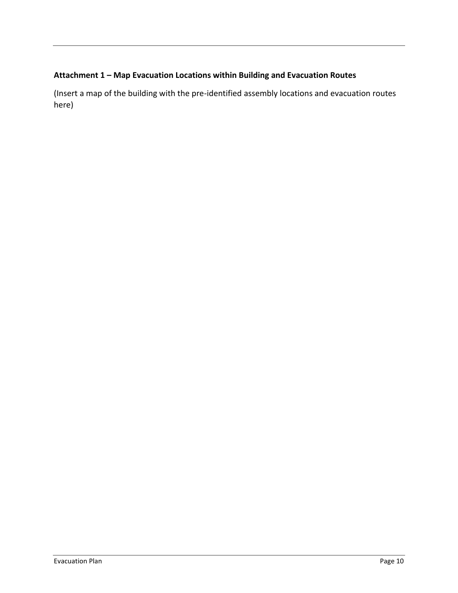# **Attachment 1 – Map Evacuation Locations within Building and Evacuation Routes**

(Insert a map of the building with the pre-identified assembly locations and evacuation routes here)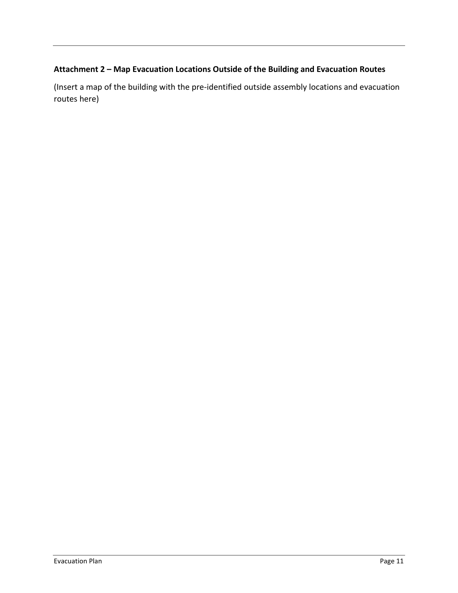# **Attachment 2 – Map Evacuation Locations Outside of the Building and Evacuation Routes**

(Insert a map of the building with the pre-identified outside assembly locations and evacuation routes here)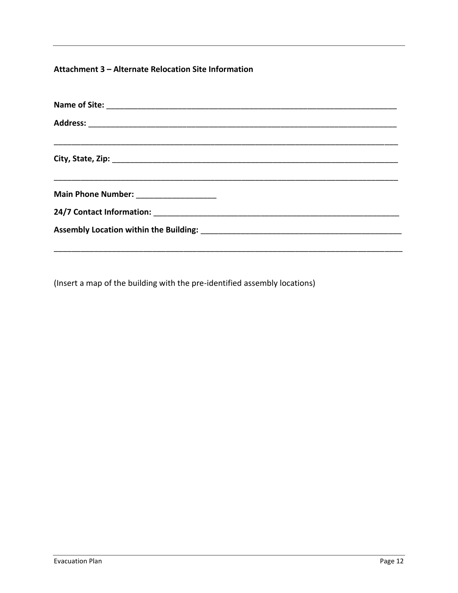# Attachment 3 - Alternate Relocation Site Information

| Main Phone Number: ______________________ |  |  |
|-------------------------------------------|--|--|
|                                           |  |  |
|                                           |  |  |
|                                           |  |  |

(Insert a map of the building with the pre-identified assembly locations)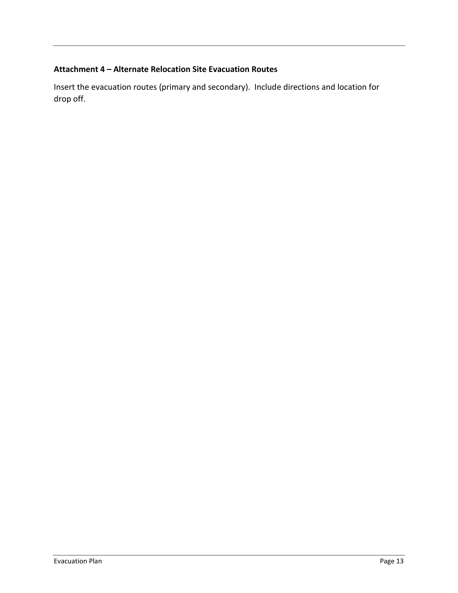## **Attachment 4 – Alternate Relocation Site Evacuation Routes**

Insert the evacuation routes (primary and secondary). Include directions and location for drop off.